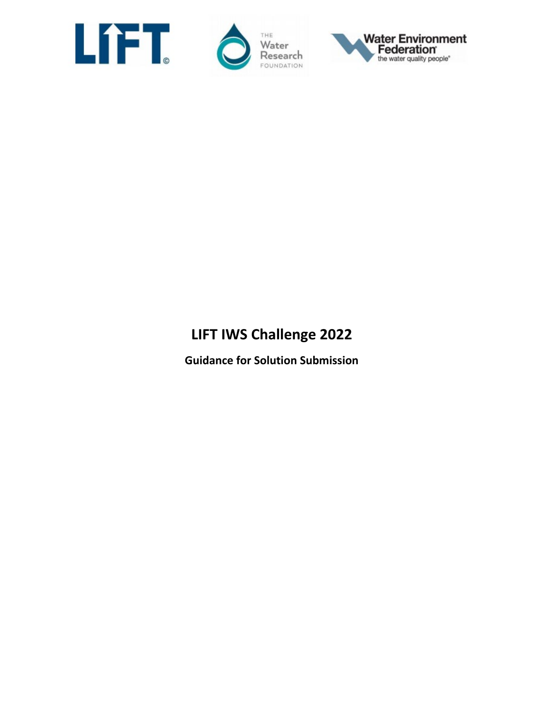

THE Water Research FOUNDATION



# **LIFT IWS Challenge 2022**

**Guidance for Solution Submission**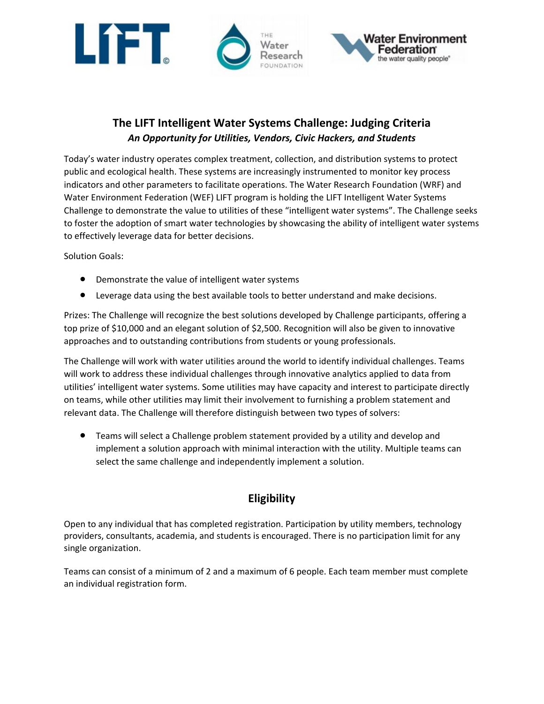

## **The LIFT Intelligent Water Systems Challenge: Judging Criteria**  *An Opportunity for Utilities, Vendors, Civic Hackers, and Students*

Today's water industry operates complex treatment, collection, and distribution systems to protect public and ecological health. These systems are increasingly instrumented to monitor key process indicators and other parameters to facilitate operations. The Water Research Foundation (WRF) and Water Environment Federation (WEF) LIFT program is holding the LIFT Intelligent Water Systems Challenge to demonstrate the value to utilities of these "intelligent water systems". The Challenge seeks to foster the adoption of smart water technologies by showcasing the ability of intelligent water systems to effectively leverage data for better decisions.

Solution Goals:

- Demonstrate the value of intelligent water systems
- Leverage data using the best available tools to better understand and make decisions.

Prizes: The Challenge will recognize the best solutions developed by Challenge participants, offering a top prize of \$10,000 and an elegant solution of \$2,500. Recognition will also be given to innovative approaches and to outstanding contributions from students or young professionals.

The Challenge will work with water utilities around the world to identify individual challenges. Teams will work to address these individual challenges through innovative analytics applied to data from utilities' intelligent water systems. Some utilities may have capacity and interest to participate directly on teams, while other utilities may limit their involvement to furnishing a problem statement and relevant data. The Challenge will therefore distinguish between two types of solvers:

• Teams will select a Challenge problem statement provided by a utility and develop and implement a solution approach with minimal interaction with the utility. Multiple teams can select the same challenge and independently implement a solution.

## **Eligibility**

Open to any individual that has completed registration. Participation by utility members, technology providers, consultants, academia, and students is encouraged. There is no participation limit for any single organization.

Teams can consist of a minimum of 2 and a maximum of 6 people. Each team member must complete an individual registration form.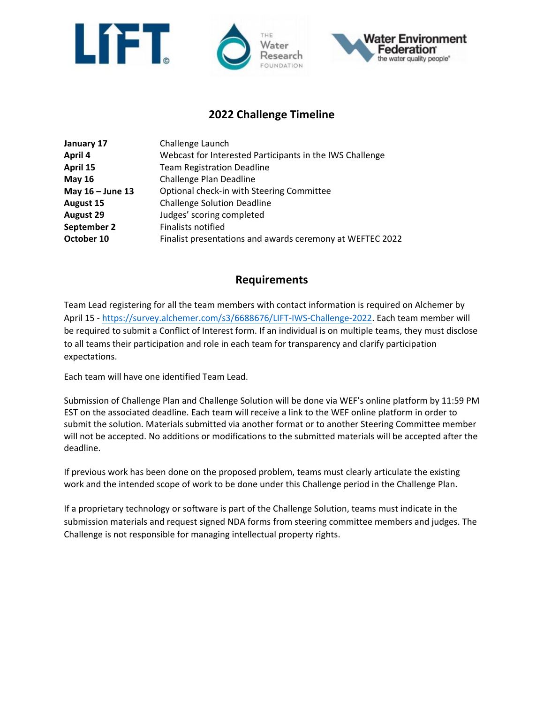



#### **2022 Challenge Timeline**

| January 17       | Challenge Launch                                          |
|------------------|-----------------------------------------------------------|
| April 4          | Webcast for Interested Participants in the IWS Challenge  |
| April 15         | <b>Team Registration Deadline</b>                         |
| <b>May 16</b>    | Challenge Plan Deadline                                   |
| May 16 - June 13 | Optional check-in with Steering Committee                 |
| August 15        | <b>Challenge Solution Deadline</b>                        |
| <b>August 29</b> | Judges' scoring completed                                 |
| September 2      | <b>Finalists notified</b>                                 |
| October 10       | Finalist presentations and awards ceremony at WEFTEC 2022 |

#### **Requirements**

Team Lead registering for all the team members with contact information is required on Alchemer by April 15 - [https://survey.alchemer.com/s3/6688676/LIFT-IWS-Challenge-2022.](https://survey.alchemer.com/s3/6688676/LIFT-IWS-Challenge-2022) Each team member will be required to submit a Conflict of Interest form. If an individual is on multiple teams, they must disclose to all teams their participation and role in each team for transparency and clarify participation expectations.

Each team will have one identified Team Lead.

Submission of Challenge Plan and Challenge Solution will be done via WEF's online platform by 11:59 PM EST on the associated deadline. Each team will receive a link to the WEF online platform in order to submit the solution. Materials submitted via another format or to another Steering Committee member will not be accepted. No additions or modifications to the submitted materials will be accepted after the deadline.

If previous work has been done on the proposed problem, teams must clearly articulate the existing work and the intended scope of work to be done under this Challenge period in the Challenge Plan.

If a proprietary technology or software is part of the Challenge Solution, teams must indicate in the submission materials and request signed NDA forms from steering committee members and judges. The Challenge is not responsible for managing intellectual property rights.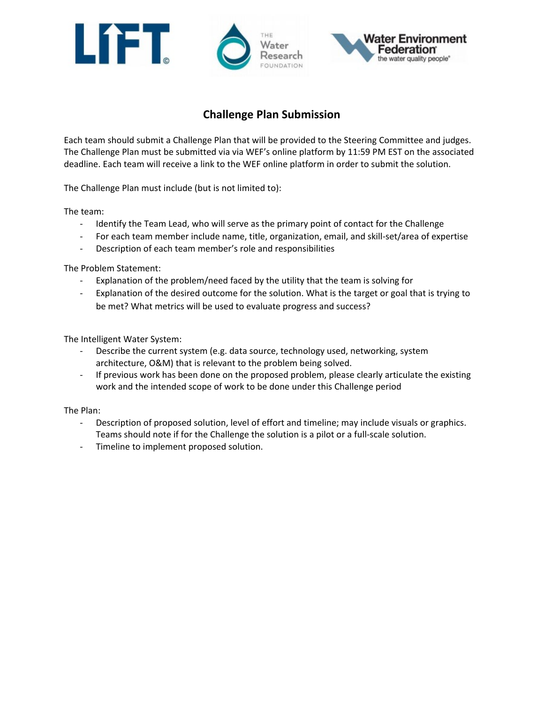





### **Challenge Plan Submission**

Each team should submit a Challenge Plan that will be provided to the Steering Committee and judges. The Challenge Plan must be submitted via via WEF's online platform by 11:59 PM EST on the associated deadline. Each team will receive a link to the WEF online platform in order to submit the solution.

The Challenge Plan must include (but is not limited to):

The team:

- Identify the Team Lead, who will serve as the primary point of contact for the Challenge
- For each team member include name, title, organization, email, and skill-set/area of expertise
- Description of each team member's role and responsibilities

The Problem Statement:

- Explanation of the problem/need faced by the utility that the team is solving for
- Explanation of the desired outcome for the solution. What is the target or goal that is trying to be met? What metrics will be used to evaluate progress and success?

The Intelligent Water System:

- Describe the current system (e.g. data source, technology used, networking, system architecture, O&M) that is relevant to the problem being solved.
- If previous work has been done on the proposed problem, please clearly articulate the existing work and the intended scope of work to be done under this Challenge period

The Plan:

- Description of proposed solution, level of effort and timeline; may include visuals or graphics. Teams should note if for the Challenge the solution is a pilot or a full-scale solution.
- Timeline to implement proposed solution.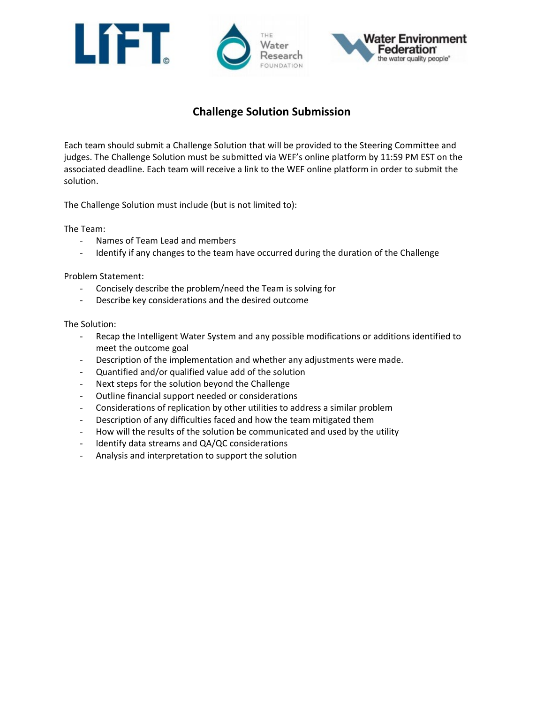





## **Challenge Solution Submission**

Each team should submit a Challenge Solution that will be provided to the Steering Committee and judges. The Challenge Solution must be submitted via WEF's online platform by 11:59 PM EST on the associated deadline. Each team will receive a link to the WEF online platform in order to submit the solution.

The Challenge Solution must include (but is not limited to):

The Team:

- Names of Team Lead and members
- Identify if any changes to the team have occurred during the duration of the Challenge

Problem Statement:

- Concisely describe the problem/need the Team is solving for
- Describe key considerations and the desired outcome

The Solution:

- Recap the Intelligent Water System and any possible modifications or additions identified to meet the outcome goal
- Description of the implementation and whether any adjustments were made.
- Quantified and/or qualified value add of the solution
- Next steps for the solution beyond the Challenge
- Outline financial support needed or considerations
- Considerations of replication by other utilities to address a similar problem
- Description of any difficulties faced and how the team mitigated them
- How will the results of the solution be communicated and used by the utility
- Identify data streams and QA/QC considerations
- Analysis and interpretation to support the solution